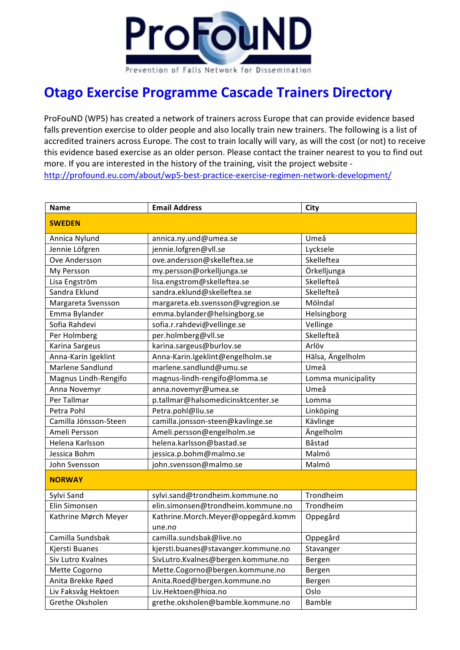

## **Otago Exercise Programme Cascade Trainers Directory**

ProFouND (WP5) has created a network of trainers across Europe that can provide evidence based falls prevention exercise to older people and also locally train new trainers. The following is a list of accredited trainers across Europe. The cost to train locally will vary, as will the cost (or not) to receive this evidence based exercise as an older person. Please contact the trainer nearest to you to find out more. If you are interested in the history of the training, visit the project website http://profound.eu.com/about/wp5-best-practice-exercise-regimen-network-development/

| <b>Name</b>           | <b>Email Address</b>                         | City               |
|-----------------------|----------------------------------------------|--------------------|
| <b>SWEDEN</b>         |                                              |                    |
| Annica Nylund         | annica.ny.und@umea.se                        | Umeå               |
| Jennie Löfgren        | jennie.lofgren@vll.se                        | Lycksele           |
| Ove Andersson         | ove.andersson@skelleftea.se                  | Skelleftea         |
| My Persson            | my.persson@orkelljunga.se                    | Örkelljunga        |
| Lisa Engström         | lisa.engstrom@skelleftea.se                  | Skellefteå         |
| Sandra Eklund         | sandra.eklund@skelleftea.se                  | Skellefteå         |
| Margareta Svensson    | margareta.eb.svensson@vgregion.se            | Mölndal            |
| Emma Bylander         | emma.bylander@helsingborg.se                 | Helsingborg        |
| Sofia Rahdevi         | sofia.r.rahdevi@vellinge.se                  | Vellinge           |
| Per Holmberg          | per.holmberg@vll.se                          | Skellefteå         |
| Karina Sargeus        | karina.sargeus@burlov.se                     | Arlöv              |
| Anna-Karin Igeklint   | Anna-Karin.Igeklint@engelholm.se             | Hälsa, Ängelholm   |
| Marlene Sandlund      | marlene.sandlund@umu.se                      | Umeå               |
| Magnus Lindh-Rengifo  | magnus-lindh-rengifo@lomma.se                | Lomma municipality |
| Anna Novemyr          | anna.novemyr@umea.se                         | Umeå               |
| Per Tallmar           | p.tallmar@halsomedicinsktcenter.se           | Lomma              |
| Petra Pohl            | Petra.pohl@liu.se                            | Linköping          |
| Camilla Jönsson-Steen | camilla.jonsson-steen@kavlinge.se            | Kävlinge           |
| Ameli Persson         | Ameli.persson@engelholm.se                   | Ängelholm          |
| Helena Karlsson       | helena.karlsson@bastad.se                    | Båstad             |
| Jessica Bohm          | jessica.p.bohm@malmo.se                      | Malmö              |
| John Svensson         | john.svensson@malmo.se                       | Malmö              |
| <b>NORWAY</b>         |                                              |                    |
| Sylvi Sand            | sylvi.sand@trondheim.kommune.no              | Trondheim          |
| Elin Simonsen         | elin.simonsen@trondheim.kommune.no           | Trondheim          |
| Kathrine Mørch Meyer  | Kathrine.Morch.Meyer@oppegård.komm<br>une.no | Oppegård           |
| Camilla Sundsbak      | camilla.sundsbak@live.no                     | Oppegård           |
| Kjersti Buanes        | kjersti.buanes@stavanger.kommune.no          | Stavanger          |
| Siv Lutro Kvalnes     | SivLutro.Kvalnes@bergen.kommune.no           | Bergen             |
| Mette Cogorno         | Mette.Cogorno@bergen.kommune.no              | Bergen             |
| Anita Brekke Røed     | Anita.Roed@bergen.kommune.no                 | Bergen             |
| Liv Faksvåg Hektoen   | Liv.Hektoen@hioa.no                          | Oslo               |
| Grethe Oksholen       | grethe.oksholen@bamble.kommune.no            | <b>Bamble</b>      |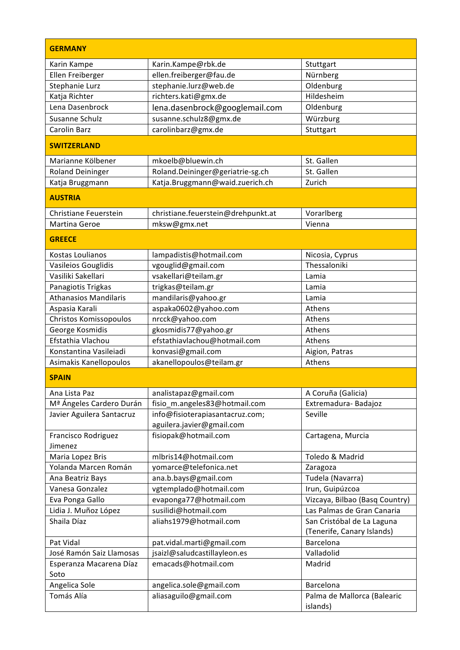| <b>GERMANY</b>                       |                                    |                                                          |
|--------------------------------------|------------------------------------|----------------------------------------------------------|
| Karin Kampe                          | Karin.Kampe@rbk.de                 | Stuttgart                                                |
| Ellen Freiberger                     | ellen.freiberger@fau.de            | Nürnberg                                                 |
| Stephanie Lurz                       | stephanie.lurz@web.de              | Oldenburg                                                |
| Katja Richter                        | richters.kati@gmx.de               | Hildesheim                                               |
| Lena Dasenbrock                      | lena.dasenbrock@googlemail.com     | Oldenburg                                                |
| Susanne Schulz                       | susanne.schulz8@gmx.de             | Würzburg                                                 |
| Carolin Barz                         | carolinbarz@gmx.de                 | Stuttgart                                                |
| <b>SWITZERLAND</b>                   |                                    |                                                          |
| Marianne Kölbener                    | mkoelb@bluewin.ch                  | St. Gallen                                               |
| <b>Roland Deininger</b>              | Roland.Deininger@geriatrie-sg.ch   | St. Gallen                                               |
| Katja Bruggmann                      | Katja.Bruggmann@waid.zuerich.ch    | Zurich                                                   |
| <b>AUSTRIA</b>                       |                                    |                                                          |
| Christiane Feuerstein                | christiane.feuerstein@drehpunkt.at | Vorarlberg                                               |
| Martina Geroe                        | mksw@gmx.net                       | Vienna                                                   |
| <b>GREECE</b>                        |                                    |                                                          |
| Kostas Loulianos                     | lampadistis@hotmail.com            | Nicosia, Cyprus                                          |
| Vasileios Gouglidis                  | vgouglid@gmail.com                 | Thessaloniki                                             |
| Vasiliki Sakellari                   | vsakellari@teilam.gr               | Lamia                                                    |
| Panagiotis Trigkas                   | trigkas@teilam.gr                  | Lamia                                                    |
| <b>Athanasios Mandilaris</b>         | mandilaris@yahoo.gr                | Lamia                                                    |
| Aspasia Karali                       | aspaka0602@yahoo.com               | Athens                                                   |
| Christos Komissopoulos               | nrcck@yahoo.com                    | Athens                                                   |
| George Kosmidis                      | gkosmidis77@yahoo.gr               | Athens                                                   |
| Efstathia Vlachou                    | efstathiavlachou@hotmail.com       | Athens                                                   |
| Konstantina Vasileiadi               | konvasi@gmail.com                  | Aigion, Patras                                           |
| Asimakis Kanellopoulos               | akanellopoulos@teilam.gr           | Athens                                                   |
| <b>SPAIN</b>                         |                                    |                                                          |
| Ana Lista Paz                        | analistapaz@gmail.com              | A Coruña (Galicia)                                       |
| M <sup>ª</sup> Ángeles Cardero Durán | fisio_m.angeles83@hotmail.com      | Extremadura-Badajoz                                      |
| Javier Aguilera Santacruz            | info@fisioterapiasantacruz.com;    | Seville                                                  |
|                                      | aguilera.javier@gmail.com          |                                                          |
| Francisco Rodriguez<br>Jimenez       | fisiopak@hotmail.com               | Cartagena, Murcia                                        |
| Maria Lopez Bris                     | mlbris14@hotmail.com               | Toledo & Madrid                                          |
| Yolanda Marcen Román                 | yomarce@telefonica.net             | Zaragoza                                                 |
| Ana Beatriz Bays                     | ana.b.bays@gmail.com               | Tudela (Navarra)                                         |
| Vanesa Gonzalez                      | vgtemplado@hotmail.com             | Irun, Guipúzcoa                                          |
| Eva Ponga Gallo                      | evaponga77@hotmail.com             | Vizcaya, Bilbao (Basq Country)                           |
| Lidia J. Muñoz López                 | susilidi@hotmail.com               | Las Palmas de Gran Canaria                               |
| Shaila Díaz                          | aliahs1979@hotmail.com             | San Cristóbal de La Laguna<br>(Tenerife, Canary Islands) |
| Pat Vidal                            | pat.vidal.marti@gmail.com          | Barcelona                                                |
| José Ramón Saiz Llamosas             | jsaizl@saludcastillayleon.es       | Valladolid                                               |
| Esperanza Macarena Díaz              | emacads@hotmail.com                | Madrid                                                   |
| Soto                                 |                                    |                                                          |
| Angelica Sole                        | angelica.sole@gmail.com            | Barcelona                                                |
| Tomás Alía                           | aliasaguilo@gmail.com              | Palma de Mallorca (Balearic                              |
|                                      |                                    | islands)                                                 |